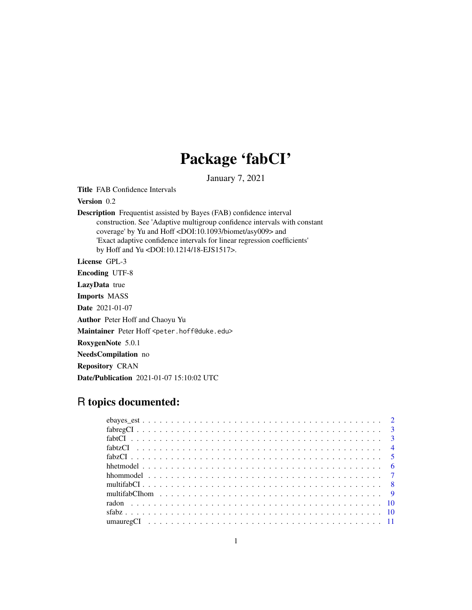## Package 'fabCI'

January 7, 2021

Title FAB Confidence Intervals

Version 0.2

Description Frequentist assisted by Bayes (FAB) confidence interval construction. See 'Adaptive multigroup confidence intervals with constant coverage' by Yu and Hoff <DOI:10.1093/biomet/asy009> and 'Exact adaptive confidence intervals for linear regression coefficients' by Hoff and Yu <DOI:10.1214/18-EJS1517>.

License GPL-3

Encoding UTF-8

LazyData true

Imports MASS

Date 2021-01-07

Author Peter Hoff and Chaoyu Yu

Maintainer Peter Hoff <peter.hoff@duke.edu>

RoxygenNote 5.0.1

NeedsCompilation no

Repository CRAN

Date/Publication 2021-01-07 15:10:02 UTC

### R topics documented: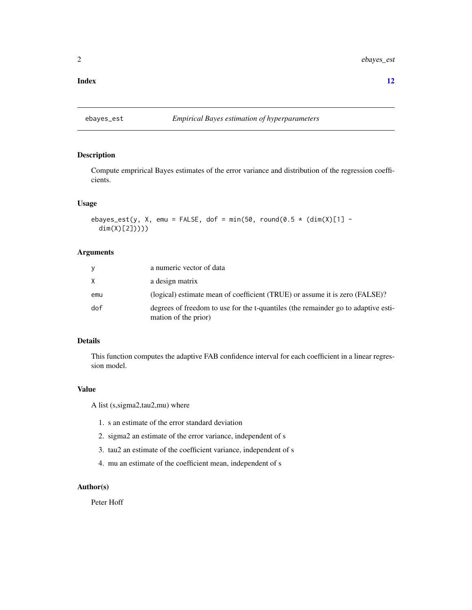#### <span id="page-1-0"></span>**Index** [12](#page-11-0)

#### ebayes\_est *Empirical Bayes estimation of hyperparameters*

#### Description

Compute emprirical Bayes estimates of the error variance and distribution of the regression coefficients.

#### Usage

```
ebayes_est(y, X, emu = FALSE, dof = min(50, round(0.5 \star (dim(X)[1] -
  dim(X)[2]))))
```
#### Arguments

| V   | a numeric vector of data                                                                                  |
|-----|-----------------------------------------------------------------------------------------------------------|
| X   | a design matrix                                                                                           |
| emu | (logical) estimate mean of coefficient (TRUE) or assume it is zero (FALSE)?                               |
| dof | degrees of freedom to use for the t-quantiles (the remainder go to adaptive esti-<br>mation of the prior) |

#### Details

This function computes the adaptive FAB confidence interval for each coefficient in a linear regression model.

#### Value

A list (s,sigma2,tau2,mu) where

- 1. s an estimate of the error standard deviation
- 2. sigma2 an estimate of the error variance, independent of s
- 3. tau2 an estimate of the coefficient variance, independent of s
- 4. mu an estimate of the coefficient mean, independent of s

#### Author(s)

Peter Hoff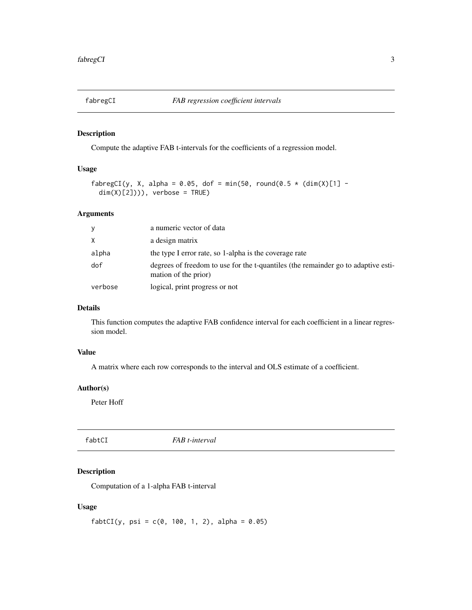<span id="page-2-0"></span>

Compute the adaptive FAB t-intervals for the coefficients of a regression model.

#### Usage

```
fabregCI(y, X, alpha = 0.05, dof = min(50, round(0.5 \star (dim(X)[1] -
  dim(X)[2]))), verbose = TRUE)
```
#### Arguments

| y       | a numeric vector of data                                                                                  |
|---------|-----------------------------------------------------------------------------------------------------------|
| X       | a design matrix                                                                                           |
| alpha   | the type I error rate, so 1-alpha is the coverage rate                                                    |
| dof     | degrees of freedom to use for the t-quantiles (the remainder go to adaptive esti-<br>mation of the prior) |
| verbose | logical, print progress or not                                                                            |

#### Details

This function computes the adaptive FAB confidence interval for each coefficient in a linear regression model.

#### Value

A matrix where each row corresponds to the interval and OLS estimate of a coefficient.

#### Author(s)

Peter Hoff

fabtCI *FAB t-interval*

#### Description

Computation of a 1-alpha FAB t-interval

#### Usage

 $fabtCl(y, psi = c(0, 100, 1, 2), alpha = 0.05)$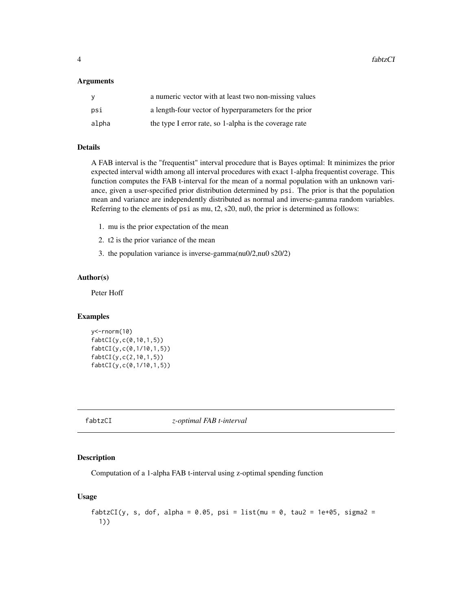<span id="page-3-0"></span>4 fabtzCI

#### **Arguments**

| y     | a numeric vector with at least two non-missing values  |
|-------|--------------------------------------------------------|
| psi   | a length-four vector of hyperparameters for the prior  |
| alpha | the type I error rate, so 1-alpha is the coverage rate |

#### Details

A FAB interval is the "frequentist" interval procedure that is Bayes optimal: It minimizes the prior expected interval width among all interval procedures with exact 1-alpha frequentist coverage. This function computes the FAB t-interval for the mean of a normal population with an unknown variance, given a user-specified prior distribution determined by psi. The prior is that the population mean and variance are independently distributed as normal and inverse-gamma random variables. Referring to the elements of psi as mu, t2, s20, nu0, the prior is determined as follows:

- 1. mu is the prior expectation of the mean
- 2. t2 is the prior variance of the mean
- 3. the population variance is inverse-gamma(nu0/2,nu0 s20/2)

#### Author(s)

Peter Hoff

#### Examples

```
y<-rnorm(10)
fabtCI(y,c(0,10,1,5))
fabtCI(y,c(0,1/10,1,5))
fabtCI(y,c(2,10,1,5))
fabtCI(y,c(0,1/10,1,5))
```
fabtzCI *z-optimal FAB t-interval*

#### Description

Computation of a 1-alpha FAB t-interval using z-optimal spending function

#### Usage

```
fabtzCI(y, s, dof, alpha = 0.05, psi = list(mu = 0, tau2 = 1e+05, sigma2 =
  1))
```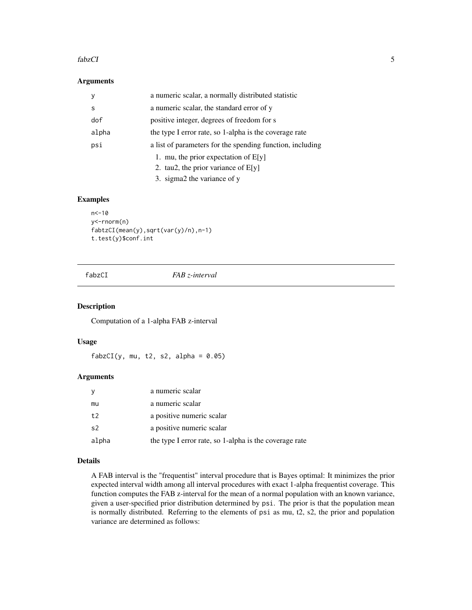#### <span id="page-4-0"></span>fabzCI 5

#### Arguments

| у     | a numeric scalar, a normally distributed statistic        |
|-------|-----------------------------------------------------------|
| s     | a numeric scalar, the standard error of y                 |
| dof   | positive integer, degrees of freedom for s                |
| alpha | the type I error rate, so 1-alpha is the coverage rate    |
| psi   | a list of parameters for the spending function, including |
|       | 1. mu, the prior expectation of $E[y]$                    |
|       | 2. tau2, the prior variance of $E[y]$                     |
|       | 3. sigma2 the variance of y                               |

#### Examples

```
n<-10
y<-rnorm(n)
fabtzCI(mean(y),sqrt(var(y)/n),n-1)
t.test(y)$conf.int
```
fabzCI *FAB z-interval*

#### Description

Computation of a 1-alpha FAB z-interval

#### Usage

 $fabzCI(y, mu, t2, s2, alpha = 0.05)$ 

#### Arguments

|                | a numeric scalar                                       |
|----------------|--------------------------------------------------------|
| mu             | a numeric scalar                                       |
| t              | a positive numeric scalar                              |
| s <sub>2</sub> | a positive numeric scalar                              |
| alpha          | the type I error rate, so 1-alpha is the coverage rate |

#### Details

A FAB interval is the "frequentist" interval procedure that is Bayes optimal: It minimizes the prior expected interval width among all interval procedures with exact 1-alpha frequentist coverage. This function computes the FAB z-interval for the mean of a normal population with an known variance, given a user-specified prior distribution determined by psi. The prior is that the population mean is normally distributed. Referring to the elements of psi as mu, t2, s2, the prior and population variance are determined as follows: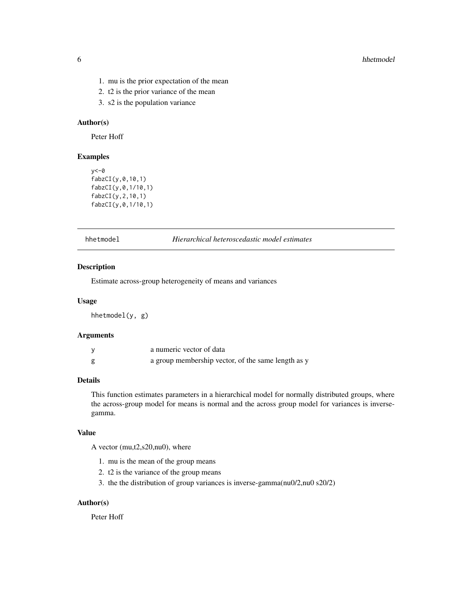- <span id="page-5-0"></span>1. mu is the prior expectation of the mean
- 2. t2 is the prior variance of the mean
- 3. s2 is the population variance

#### Author(s)

Peter Hoff

#### Examples

```
y < -\emptysetfabzCI(y,0,10,1)
fabzCI(y,0,1/10,1)
fabzCI(y,2,10,1)
fabzCI(y,0,1/10,1)
```
hhetmodel *Hierarchical heteroscedastic model estimates*

#### Description

Estimate across-group heterogeneity of means and variances

#### Usage

hhetmodel(y, g)

#### Arguments

| a numeric vector of data                           |
|----------------------------------------------------|
| a group membership vector, of the same length as y |

#### Details

This function estimates parameters in a hierarchical model for normally distributed groups, where the across-group model for means is normal and the across group model for variances is inversegamma.

#### Value

A vector (mu,t2,s20,nu0), where

- 1. mu is the mean of the group means
- 2. t2 is the variance of the group means
- 3. the the distribution of group variances is inverse-gamma(nu0/2,nu0 s20/2)

#### Author(s)

Peter Hoff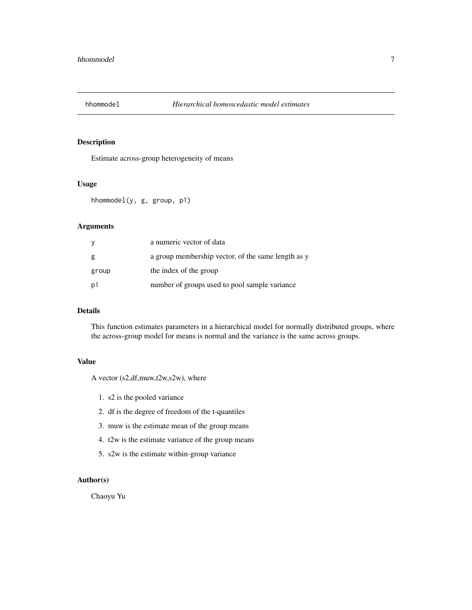<span id="page-6-0"></span>

Estimate across-group heterogeneity of means

#### Usage

hhommodel(y, g, group, p1)

#### Arguments

| y     | a numeric vector of data                           |
|-------|----------------------------------------------------|
| g     | a group membership vector, of the same length as y |
| group | the index of the group                             |
| p1    | number of groups used to pool sample variance      |

#### Details

This function estimates parameters in a hierarchical model for normally distributed groups, where the across-group model for means is normal and the variance is the same across groups.

#### Value

A vector (s2,df,muw,t2w,s2w), where

- 1. s2 is the pooled variance
- 2. df is the degree of freedom of the t-quantiles
- 3. muw is the estimate mean of the group means
- 4. t2w is the estimate variance of the group means
- 5. s2w is the estimate within-group variance

#### Author(s)

Chaoyu Yu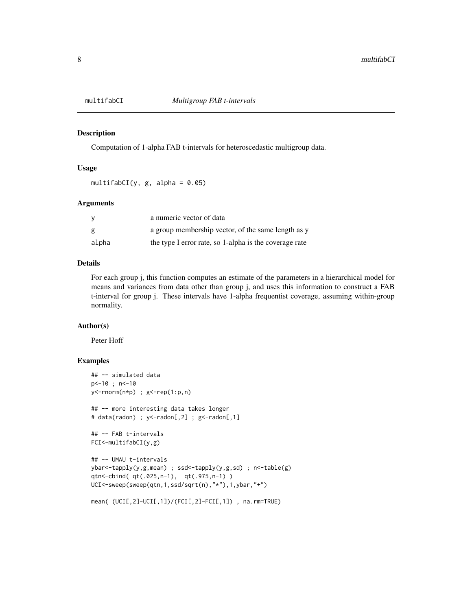<span id="page-7-0"></span>

Computation of 1-alpha FAB t-intervals for heteroscedastic multigroup data.

#### Usage

multifabCI(y, g, alpha =  $0.05$ )

#### Arguments

|       | a numeric vector of data                               |
|-------|--------------------------------------------------------|
| g     | a group membership vector, of the same length as y     |
| alpha | the type I error rate, so 1-alpha is the coverage rate |

#### Details

For each group j, this function computes an estimate of the parameters in a hierarchical model for means and variances from data other than group j, and uses this information to construct a FAB t-interval for group j. These intervals have 1-alpha frequentist coverage, assuming within-group normality.

#### Author(s)

Peter Hoff

#### Examples

```
## -- simulated data
p<-10 ; n<-10
y <-rnorm(n*p) ; g <-rep(1:p,n)
## -- more interesting data takes longer
# data(radon) ; y<-radon[,2] ; g<-radon[,1]
## -- FAB t-intervals
FCI<-multifabCI(y,g)
## -- UMAU t-intervals
ybar<-tapply(y,g,mean) ; ssd<-tapply(y,g,sd) ; n<-table(g)
qtn<-cbind( qt(.025,n-1), qt(.975,n-1) )
UCI<-sweep(sweep(qtn,1,ssd/sqrt(n),"*"),1,ybar,"+")
mean( (UCI[,2]-UCI[,1])/(FCI[,2]-FCI[,1]) , na.rm=TRUE)
```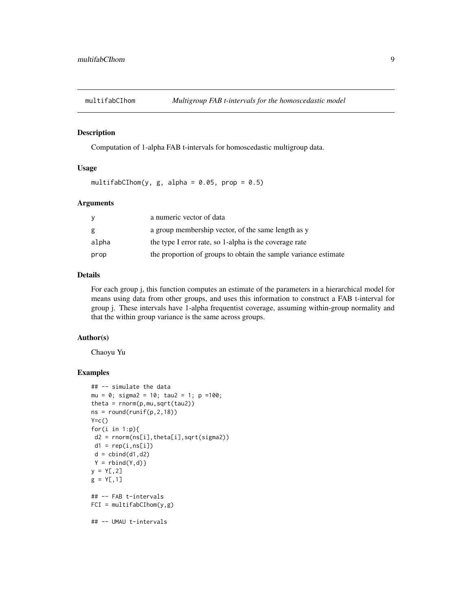<span id="page-8-0"></span>

Computation of 1-alpha FAB t-intervals for homoscedastic multigroup data.

#### Usage

multifabCIhom(y, g, alpha =  $0.05$ , prop =  $0.5$ )

#### Arguments

|       | a numeric vector of data                                        |
|-------|-----------------------------------------------------------------|
| g     | a group membership vector, of the same length as y              |
| alpha | the type I error rate, so 1-alpha is the coverage rate          |
| prop  | the proportion of groups to obtain the sample variance estimate |

#### Details

For each group j, this function computes an estimate of the parameters in a hierarchical model for means using data from other groups, and uses this information to construct a FAB t-interval for group j. These intervals have 1-alpha frequentist coverage, assuming within-group normality and that the within group variance is the same across groups.

#### Author(s)

Chaoyu Yu

#### Examples

```
## -- simulate the data
mu = 0; sigma2 = 10; tau2 = 1; p =100;
theta = rnorm(p,mu,sqrt(tau2))
ns = round(runif(p, 2, 18))Y=C()for(i in 1:p){
d2 = rnorm(ns[i],theta[i],sqrt(sigma2))
 d1 = rep(i, ns[i])d = \text{cbind}(d1, d2)Y = \text{rbind}(Y, d)y = Y[, 2]g = Y[, 1]## -- FAB t-intervals
FCI = multifabCInom(y, g)## -- UMAU t-intervals
```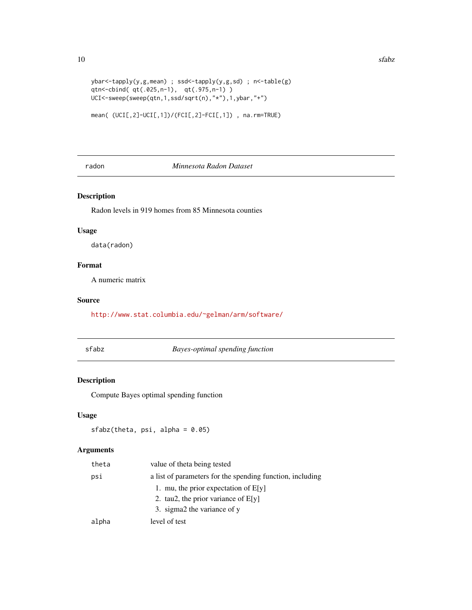```
ybar<-tapply(y,g,mean) ; ssd<-tapply(y,g,sd) ; n<-table(g)
qtn<-cbind( qt(.025,n-1), qt(.975,n-1) )
UCI<-sweep(sweep(qtn,1,ssd/sqrt(n),"*"),1,ybar,"+")
```

```
mean( (UCI[,2]-UCI[,1])/(FCI[,2]-FCI[,1]) , na.rm=TRUE)
```
#### radon *Minnesota Radon Dataset*

#### Description

Radon levels in 919 homes from 85 Minnesota counties

#### Usage

data(radon)

#### Format

A numeric matrix

#### Source

<http://www.stat.columbia.edu/~gelman/arm/software/>

sfabz *Bayes-optimal spending function*

#### Description

Compute Bayes optimal spending function

#### Usage

sfabz(theta, psi, alpha = 0.05)

#### Arguments

| theta | value of theta being tested                               |
|-------|-----------------------------------------------------------|
| psi   | a list of parameters for the spending function, including |
|       | 1. mu, the prior expectation of $E[y]$                    |
|       | 2. tau2, the prior variance of $E[y]$                     |
|       | 3. sigma2 the variance of y                               |
| alpha | level of test                                             |

<span id="page-9-0"></span>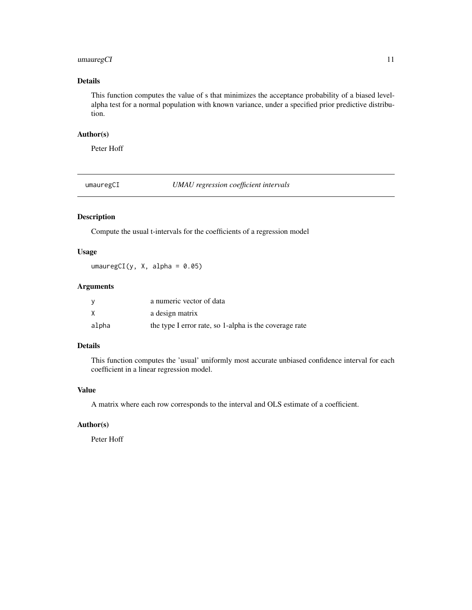#### <span id="page-10-0"></span>umauregCI 11

#### Details

This function computes the value of s that minimizes the acceptance probability of a biased levelalpha test for a normal population with known variance, under a specified prior predictive distribution.

#### Author(s)

Peter Hoff

umauregCI *UMAU regression coefficient intervals*

#### Description

Compute the usual t-intervals for the coefficients of a regression model

#### Usage

umauregCI(y, X, alpha =  $0.05$ )

#### Arguments

|       | a numeric vector of data                               |
|-------|--------------------------------------------------------|
| X     | a design matrix                                        |
| alpha | the type I error rate, so 1-alpha is the coverage rate |

#### Details

This function computes the 'usual' uniformly most accurate unbiased confidence interval for each coefficient in a linear regression model.

#### Value

A matrix where each row corresponds to the interval and OLS estimate of a coefficient.

#### Author(s)

Peter Hoff